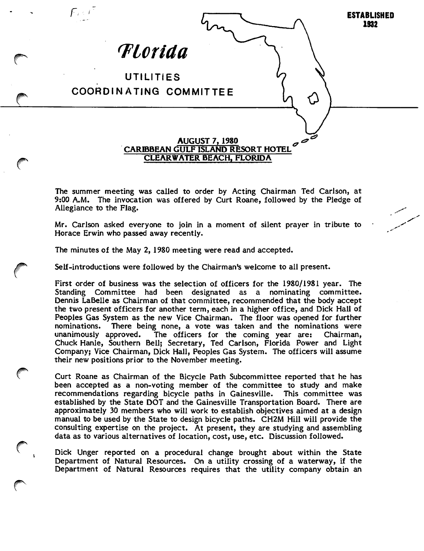

The summer meeting was called to order by Acting Chairman Ted Carlson, at 9:00 A.M. The invocation was offered by Curt Roane, followed by the Pledge of Allegiance to the Flag.

Mr. Carlson asked everyone to join in a moment of silent prayer in tribute to Horace Erwin who passed away recently.

The minutes of the May 2, 1980 meeting were read and accepted.

Self-introductions were followed by the Chairman's welcome to all present.

First order of business was the selection of officers for the 1980/1981 year. The Standing Committee had been designated as a nominating committee. Dennis LaBelle as Chairman of that committee, recommended that the body accept the two present officers for another term, each in a higher office, and Dick Hall of Peoples Gas System as the new Vice Chairman. The floor was opened for further nominations. There being none, a vote was taken and the nominations were unanimously approved. The officers for the coming year are: Chairman, Chuck Hanle, Southern Bell; Secretary, Ted Carlson, Florida Power and Light Company; Vice Chairman, Dick Hall, Peoples Gas System. The officers will assume their new positions prior to the November meeting.

Curt Roane as Chairman of the Bicycle Path Subcommittee reported that he has been accepted as a non-voting member of the committee to study and make recommendations regarding bicycle paths in Gainesville. This committee was established by the State DOT and the Gainesville Transportation Board. There are approximately 30 members who will work to establish objectives aimed at a design manual to be used by the State to design bicycle paths. CH2M Hill will provide the consulting expertise on the project. At present, they are studying and assembling data as to various alternatives of location, cost, use, etc. Discussion followed.

Dick Unger reported on a procedural change brought about within the State Department of Natural Resources. On a utility crossing of a waterway, if the Department of Natural Resources requires that the utility company obtain an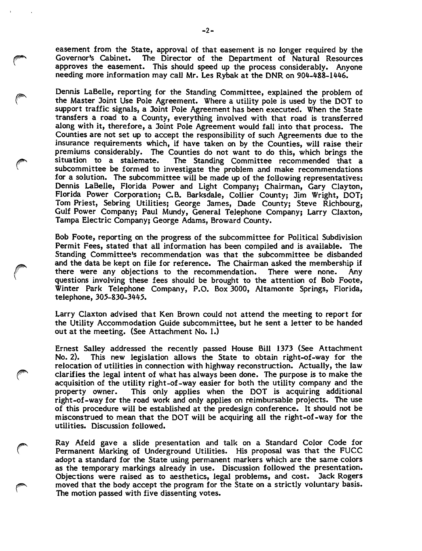easement from the State, approval of that easement is no longer required by the Governor's Cabinet. The Director of the Department of Natural Resources approves the easement. This should speed up the process considerably. Anyone needing more information may call Mr. Les Rybak at the DNR on 904-488-1446.

Dennis LaBelle, reporting for the Standing Committee, explained the problem of the Master Joint Use Pole Agreement. Where a utility pole is used by the DOT to support traffic signals, a Joint Pole Agreement has been executed. When the State transfers a road to a County, everything involved with that road is transferred along with it, therefore, a Joint Pole Agreement would fail into that process. The Counties are not set up to accept the responsibility of such Agreements due to the insurance requirements which, if have taken on by the Counties, will raise their premiums considerably. The Counties do not want to do this, which brings the situation to a stalemate. The Standing Committee recommended that a subcommittee be formed to investigate the problem and make recommendations for a solution. The subcommittee will be made up of the following representatives: Dennis LaBelle, Florida Power and Light Company; Chairman, Gary Clayton, Florida Power Corporation; C.B. Barksdaie, Collier County; Jim Wright, DOT; Tom Priest, Sebring Utilities; George James, Dade County; Steve Richbourg, Gulf Power Company; Paul Mundy, General Telephone Company; Larry Claxton, Tampa Electric Company; George Adams, Broward County.

Bob Foote, reporting on the progress of the subcommittee for Political Subdivision Permit Fees, stated that ail information has been compiled and is available. The Standing Committee's recommendation was that the subcommittee be disbanded and the data be kept on file for reference. The Chairman asked the membership if there were any objections to the recommendation. There were none. Any questions involving these fees should be brought to the attention of Bob Foote, Winter Park Telephone Company, P.O. Box 3000, Altamonte Springs, Florida, telephone, 305-830-3445.

Larry Claxton advised that Ken Brown could not attend the meeting to report for the Utility Accommodation Guide subcommittee, but he sent a letter to be handed out at the meeting. (See Attachment No. 1.)

Ernest Salley addressed the recently passed House Bill 1373 (See Attachment No. 2). This new legislation allows the State to obtain right-of-way for the relocation of utilities in connection with highway reconstruction. Actually, the law clarifies the legal intent of what has always been done. The purpose is to make the acquisition of the utility right-of-way easier for both the utility company and the property owner. This only applies when the DOT is acquiring additional right-of-way for the road work and only applies on reimbursable projects. The use of this procedure will be established at the predesign conference. It should not be misconstrued to mean that the DOT will be acquiring all the right-of-way for the utilities. Discussion followed.

r Ray Afeld gave a slide presentation and talk on a Standard Color Code for Permanent Marking of Underground Utilities. His proposal was that the FUCC adopt a standard for the State using permanent markers which are the same colors as the temporary markings already in use. Discussion followed the presentation. Objections were raised as to aesthetics, legeil problems, and cost. Jack Rogers moved that the body accept the program for the State on a strictly voluntary basis. The motion passed with five dissenting votes.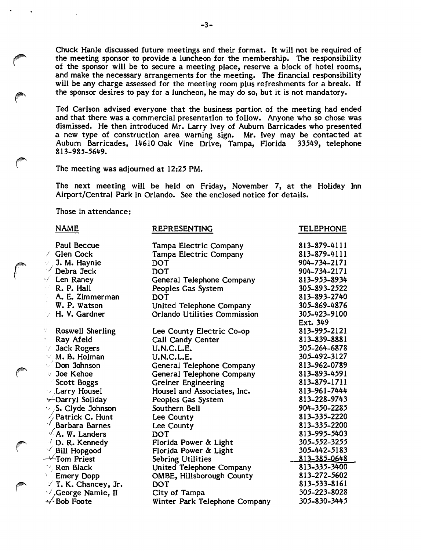Chuck Hanle discussed future meetings and their format. It will not be required of the meeting sponsor to provide a luncheon for the membership. The responsibility of the sponsor will be to secure a meeting place, reserve a block of hotel rooms, and make the necessary arrangements for the meeting. The financial responsibility will be any charge assessed for the meeting room plus refreshments for a break. If the sponsor desires to pay for a luncheon, he may do so, but it is not mandatory.

Ted Carlson advised everyone that the business portion of the meeting had ended and that there was a commercial presentation to follow. Anyone who so chose was dismissed. He then introduced Mr. Larry Ivey of Auburn Barricades who presented a new type of construction area warning sign. Mr. Ivey may be contacted at Auburn Barricades, 14610 Oak Vine Drive, Tampa, Florida 33549, telephone Auburn Barricades, 14610 Oak Vine Drive, Tampa, Florida 813-985-5649.

The meeting was adjourned at 12:25 PM.

The next meeting will be held on Friday, November 7, at the Holiday Inn Airport/Central Park in Orlando. See the enclosed notice for details.

Those in attendance:

## NAME REPRESENTING TELEPHONE

| Paul Beccue               | Tampa Electric Company        | 813-879-4111 |
|---------------------------|-------------------------------|--------------|
| $\angle$ Glen Cock        | Tampa Electric Company        | 813-879-4111 |
| $\vee$ J. M. Haynie       | DOT                           | 904-734-2171 |
| $\vee$ Debra Jeck         | <b>DOT</b>                    | 904-734-2171 |
| $\sqrt{ }$ Len Raney      | General Telephone Company     | 813-953-8934 |
| $\times$ R. P. Hall       | Peoples Gas System            | 305-893-2522 |
| t yn<br>A. E. Zimmerman   | <b>DOT</b>                    | 813-893-2740 |
| W. P. Watson              | United Telephone Company      | 305-869-4876 |
| A. V. Gardner             | Orlando Utilities Commission  | 305-423-9100 |
|                           |                               | Ext. 349     |
| 17<br>Roswell Sherling    | Lee County Electric Co-op     | 813-995-2121 |
| Ray Afeld                 | Call Candy Center             | 813-839-8881 |
| Jack Rogers               | U.N.C.L.E.                    | 305-264-6878 |
| $\vee$ M. B. Holman       | U.N.C.L.E.                    | 305-492-3127 |
| $\sqrt{2}$ Don Johnson    | General Telephone Company     | 813-962-0789 |
| √ Joe Kehoe               | General Telephone Company     | 813-893-4591 |
| Scott Boggs               | <b>Greiner Engineering</b>    | 813-879-1711 |
| Larry Housel              | Housel and Associates, Inc.   | 813-961-7444 |
| Goliday Soliday           | Peoples Gas System            | 813-228-9743 |
| $\vee$ S. Clyde Johnson   | Southern Bell                 | 904-350-2285 |
| $\sqrt{}$ Patrick C. Hunt | Lee County                    | 813-335-2220 |
| Barbara Barnes            | Lee County                    | 813-335-2200 |
| $\sqrt{A}$ . W. Landers   | <b>DOT</b>                    | 813-995-5403 |
| $\neq$ D. R. Kennedy      | Florida Power & Light         | 305-552-3255 |
| $\sqrt{}$ Bill Hopgood    | Florida Power & Light         | 305-442-5183 |
| $\rightarrow$ Tom Priest  | Sebring Utilities             | 813-385-0648 |
| Ron Black                 | United Telephone Company      | 813-335-3400 |
| <b>Emery Dopp</b>         | OMBE, Hillsborough County     | 813-272-5602 |
| $\vee$ T. K. Chancey, Jr. | <b>DOT</b>                    | 813-533-8161 |
| $\vee$ George Namie, II   | City of Tampa                 | 305-223-8028 |
| $\div$ Bob Foote          | Winter Park Telephone Company | 305-830-3445 |